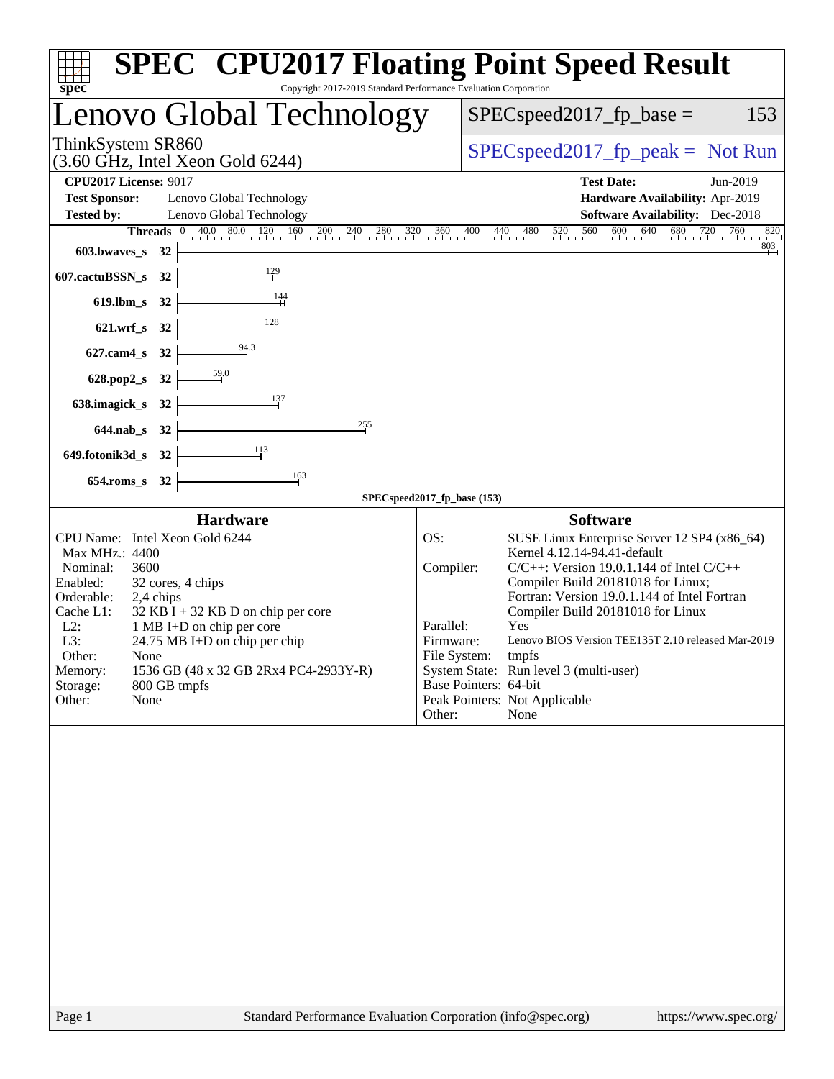| Copyright 2017-2019 Standard Performance Evaluation Corporation<br>spec <sup>®</sup>                                                                                                                                                                                                                                                                                                                        | <b>SPEC<sup>®</sup> CPU2017 Floating Point Speed Result</b>                                                                                                                                                                                                                                                                                                                                                                                                                                                                           |
|-------------------------------------------------------------------------------------------------------------------------------------------------------------------------------------------------------------------------------------------------------------------------------------------------------------------------------------------------------------------------------------------------------------|---------------------------------------------------------------------------------------------------------------------------------------------------------------------------------------------------------------------------------------------------------------------------------------------------------------------------------------------------------------------------------------------------------------------------------------------------------------------------------------------------------------------------------------|
| Lenovo Global Technology                                                                                                                                                                                                                                                                                                                                                                                    | $SPEC speed2017fp base =$<br>153                                                                                                                                                                                                                                                                                                                                                                                                                                                                                                      |
| ThinkSystem SR860<br>$(3.60 \text{ GHz}, \text{Intel Xeon Gold } 6244)$                                                                                                                                                                                                                                                                                                                                     | $SPEC speed2017rfp peak = Not Run$                                                                                                                                                                                                                                                                                                                                                                                                                                                                                                    |
| <b>CPU2017 License: 9017</b><br><b>Test Sponsor:</b><br>Lenovo Global Technology<br><b>Tested by:</b><br>Lenovo Global Technology<br>603.bwaves_s<br>- 32<br>129<br>607.cactuBSSN_s<br>32<br>$\frac{144}{1}$<br>$619$ .lbm_s<br>- 32<br>128<br>$621.wrf$ <sub>S</sub><br>32<br>94.3<br>$627$ .cam $4$ <sub>_S</sub><br>32<br>59.0<br>628.pop2_s<br>32<br>137<br>638.imagick_s<br>32<br>255<br>644.nab s 32  | <b>Test Date:</b><br>Jun-2019<br>Hardware Availability: Apr-2019<br><b>Software Availability:</b> Dec-2018<br><b>Threads</b> 0 40.0 80.0 120 160 200 240 280 320 360 400 440 480 520 560 600 640 680 720 760<br>820<br>$\frac{803}{ }$                                                                                                                                                                                                                                                                                                |
| 113<br>649.fotonik3d_s<br>32<br>163<br>$654$ .roms_s<br>32                                                                                                                                                                                                                                                                                                                                                  | SPECspeed2017_fp_base (153)                                                                                                                                                                                                                                                                                                                                                                                                                                                                                                           |
| <b>Hardware</b><br>CPU Name: Intel Xeon Gold 6244<br>Max MHz.: 4400<br>Nominal:<br>3600<br>Enabled:<br>32 cores, 4 chips<br>Orderable:<br>2,4 chips<br>Cache L1:<br>$32$ KB I + 32 KB D on chip per core<br>$L2$ :<br>1 MB I+D on chip per core<br>L3:<br>24.75 MB I+D on chip per chip<br>Other:<br>None<br>1536 GB (48 x 32 GB 2Rx4 PC4-2933Y-R)<br>Memory:<br>Storage:<br>800 GB tmpfs<br>None<br>Other: | <b>Software</b><br>OS:<br>SUSE Linux Enterprise Server 12 SP4 (x86_64)<br>Kernel 4.12.14-94.41-default<br>Compiler:<br>$C/C++$ : Version 19.0.1.144 of Intel $C/C++$<br>Compiler Build 20181018 for Linux;<br>Fortran: Version 19.0.1.144 of Intel Fortran<br>Compiler Build 20181018 for Linux<br>Parallel:<br>Yes<br>Lenovo BIOS Version TEE135T 2.10 released Mar-2019<br>Firmware:<br>File System:<br>tmpfs<br>System State: Run level 3 (multi-user)<br>Base Pointers: 64-bit<br>Peak Pointers: Not Applicable<br>Other:<br>None |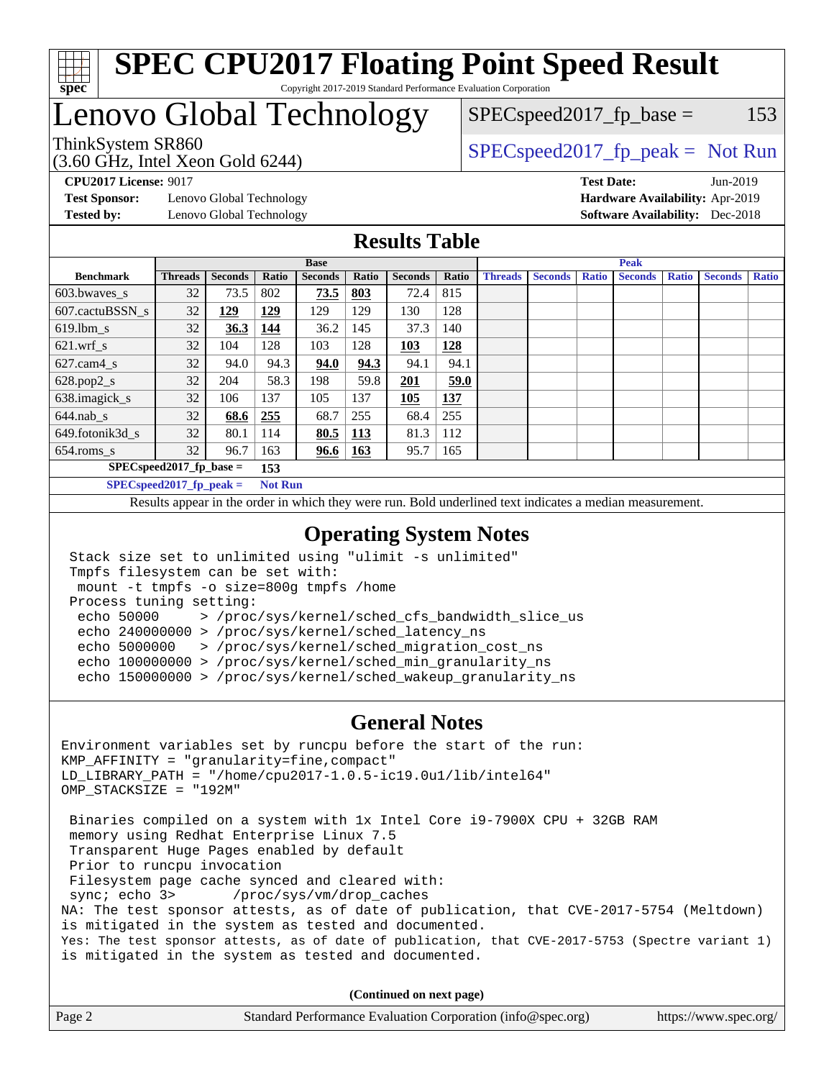

### Lenovo Global Technology

ThinkSystem SR860<br>  $SPEC speed2017<sub>rfp</sub> peak = Not Run$  $SPEC speed2017_fp\_base = 153$ 

(3.60 GHz, Intel Xeon Gold 6244)

**[Test Sponsor:](http://www.spec.org/auto/cpu2017/Docs/result-fields.html#TestSponsor)** Lenovo Global Technology **[Hardware Availability:](http://www.spec.org/auto/cpu2017/Docs/result-fields.html#HardwareAvailability)** Apr-2019 **[Tested by:](http://www.spec.org/auto/cpu2017/Docs/result-fields.html#Testedby)** Lenovo Global Technology **[Software Availability:](http://www.spec.org/auto/cpu2017/Docs/result-fields.html#SoftwareAvailability)** Dec-2018

**[CPU2017 License:](http://www.spec.org/auto/cpu2017/Docs/result-fields.html#CPU2017License)** 9017 **[Test Date:](http://www.spec.org/auto/cpu2017/Docs/result-fields.html#TestDate)** Jun-2019

### **[Results Table](http://www.spec.org/auto/cpu2017/Docs/result-fields.html#ResultsTable)**

|                            | <b>Base</b>    |                |                |                |            | <b>Peak</b>    |       |                |                |              |                |              |                |              |
|----------------------------|----------------|----------------|----------------|----------------|------------|----------------|-------|----------------|----------------|--------------|----------------|--------------|----------------|--------------|
| <b>Benchmark</b>           | <b>Threads</b> | <b>Seconds</b> | Ratio          | <b>Seconds</b> | Ratio      | <b>Seconds</b> | Ratio | <b>Threads</b> | <b>Seconds</b> | <b>Ratio</b> | <b>Seconds</b> | <b>Ratio</b> | <b>Seconds</b> | <b>Ratio</b> |
| 603.bwayes_s               | 32             | 73.5           | 802            | 73.5           | 803        | 72.4           | 815   |                |                |              |                |              |                |              |
| 607.cactuBSSN s            | 32             | <u> 129</u>    | <b>129</b>     | 129            | 129        | 130            | 128   |                |                |              |                |              |                |              |
| $619.$ lbm s               | 32             | 36.3           | 144            | 36.2           | 145        | 37.3           | 140   |                |                |              |                |              |                |              |
| $621.wrf$ s                | 32             | 104            | 128            | 103            | 128        | 103            | 128   |                |                |              |                |              |                |              |
| $627.cam4_s$               | 32             | 94.0           | 94.3           | 94.0           | 94.3       | 94.1           | 94.1  |                |                |              |                |              |                |              |
| $628.pop2_s$               | 32             | 204            | 58.3           | 198            | 59.8       | 201            | 59.0  |                |                |              |                |              |                |              |
| 638.imagick_s              | 32             | 106            | 137            | 105            | 137        | 105            | 137   |                |                |              |                |              |                |              |
| $644$ .nab s               | 32             | 68.6           | 255            | 68.7           | 255        | 68.4           | 255   |                |                |              |                |              |                |              |
| 649.fotonik3d s            | 32             | 80.1           | 114            | 80.5           | <u>113</u> | 81.3           | 112   |                |                |              |                |              |                |              |
| $654$ .roms s              | 32             | 96.7           | 163            | 96.6           | <b>163</b> | 95.7           | 165   |                |                |              |                |              |                |              |
| $SPEC speed2017$ fp base = |                |                | 153            |                |            |                |       |                |                |              |                |              |                |              |
| $SPECspeed2017_fp\_peak =$ |                |                | <b>Not Run</b> |                |            |                |       |                |                |              |                |              |                |              |

Results appear in the [order in which they were run.](http://www.spec.org/auto/cpu2017/Docs/result-fields.html#RunOrder) Bold underlined text [indicates a median measurement](http://www.spec.org/auto/cpu2017/Docs/result-fields.html#Median).

### **[Operating System Notes](http://www.spec.org/auto/cpu2017/Docs/result-fields.html#OperatingSystemNotes)**

```
 Stack size set to unlimited using "ulimit -s unlimited"
Tmpfs filesystem can be set with:
mount -t tmpfs -o size=800g tmpfs /home
Process tuning setting:
 echo 50000 > /proc/sys/kernel/sched_cfs_bandwidth_slice_us
 echo 240000000 > /proc/sys/kernel/sched_latency_ns
 echo 5000000 > /proc/sys/kernel/sched_migration_cost_ns
 echo 100000000 > /proc/sys/kernel/sched_min_granularity_ns
 echo 150000000 > /proc/sys/kernel/sched_wakeup_granularity_ns
```
#### **[General Notes](http://www.spec.org/auto/cpu2017/Docs/result-fields.html#GeneralNotes)**

Environment variables set by runcpu before the start of the run: KMP\_AFFINITY = "granularity=fine,compact" LD\_LIBRARY\_PATH = "/home/cpu2017-1.0.5-ic19.0u1/lib/intel64" OMP\_STACKSIZE = "192M" Binaries compiled on a system with 1x Intel Core i9-7900X CPU + 32GB RAM memory using Redhat Enterprise Linux 7.5 Transparent Huge Pages enabled by default Prior to runcpu invocation Filesystem page cache synced and cleared with: sync; echo 3> /proc/sys/vm/drop\_caches NA: The test sponsor attests, as of date of publication, that CVE-2017-5754 (Meltdown) is mitigated in the system as tested and documented. Yes: The test sponsor attests, as of date of publication, that CVE-2017-5753 (Spectre variant 1) is mitigated in the system as tested and documented.

**(Continued on next page)**

| Page 2 | Standard Performance Evaluation Corporation (info@spec.org) | https://www.spec.org/ |
|--------|-------------------------------------------------------------|-----------------------|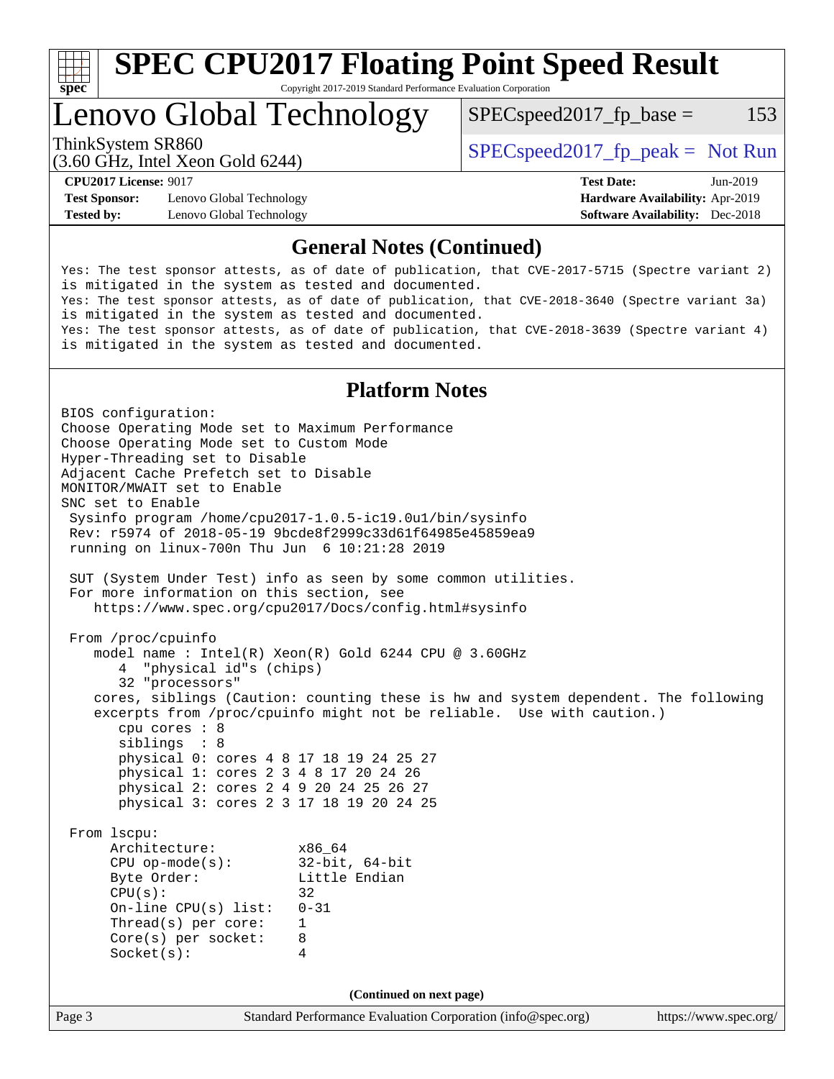

### Lenovo Global Technology

 $SPEC speed2017<sub>fp</sub> base =  $153$$ 

(3.60 GHz, Intel Xeon Gold 6244)

ThinkSystem SR860<br>  $SPEC speed2017<sub>rfp</sub> peak = Not Run$ 

**[Test Sponsor:](http://www.spec.org/auto/cpu2017/Docs/result-fields.html#TestSponsor)** Lenovo Global Technology **[Hardware Availability:](http://www.spec.org/auto/cpu2017/Docs/result-fields.html#HardwareAvailability)** Apr-2019 **[Tested by:](http://www.spec.org/auto/cpu2017/Docs/result-fields.html#Testedby)** Lenovo Global Technology **[Software Availability:](http://www.spec.org/auto/cpu2017/Docs/result-fields.html#SoftwareAvailability)** Dec-2018

**[CPU2017 License:](http://www.spec.org/auto/cpu2017/Docs/result-fields.html#CPU2017License)** 9017 **[Test Date:](http://www.spec.org/auto/cpu2017/Docs/result-fields.html#TestDate)** Jun-2019

### **[General Notes \(Continued\)](http://www.spec.org/auto/cpu2017/Docs/result-fields.html#GeneralNotes)**

Yes: The test sponsor attests, as of date of publication, that CVE-2017-5715 (Spectre variant 2) is mitigated in the system as tested and documented. Yes: The test sponsor attests, as of date of publication, that CVE-2018-3640 (Spectre variant 3a) is mitigated in the system as tested and documented. Yes: The test sponsor attests, as of date of publication, that CVE-2018-3639 (Spectre variant 4) is mitigated in the system as tested and documented.

### **[Platform Notes](http://www.spec.org/auto/cpu2017/Docs/result-fields.html#PlatformNotes)**

Page 3 Standard Performance Evaluation Corporation [\(info@spec.org\)](mailto:info@spec.org) <https://www.spec.org/> BIOS configuration: Choose Operating Mode set to Maximum Performance Choose Operating Mode set to Custom Mode Hyper-Threading set to Disable Adjacent Cache Prefetch set to Disable MONITOR/MWAIT set to Enable SNC set to Enable Sysinfo program /home/cpu2017-1.0.5-ic19.0u1/bin/sysinfo Rev: r5974 of 2018-05-19 9bcde8f2999c33d61f64985e45859ea9 running on linux-700n Thu Jun 6 10:21:28 2019 SUT (System Under Test) info as seen by some common utilities. For more information on this section, see <https://www.spec.org/cpu2017/Docs/config.html#sysinfo> From /proc/cpuinfo model name : Intel(R) Xeon(R) Gold 6244 CPU @ 3.60GHz 4 "physical id"s (chips) 32 "processors" cores, siblings (Caution: counting these is hw and system dependent. The following excerpts from /proc/cpuinfo might not be reliable. Use with caution.) cpu cores : 8 siblings : 8 physical 0: cores 4 8 17 18 19 24 25 27 physical 1: cores 2 3 4 8 17 20 24 26 physical 2: cores 2 4 9 20 24 25 26 27 physical 3: cores 2 3 17 18 19 20 24 25 From lscpu: Architecture: x86\_64 CPU op-mode(s): 32-bit, 64-bit Byte Order: Little Endian  $CPU(s):$  32 On-line CPU(s) list: 0-31 Thread(s) per core: 1 Core(s) per socket: 8 Socket(s): 4 **(Continued on next page)**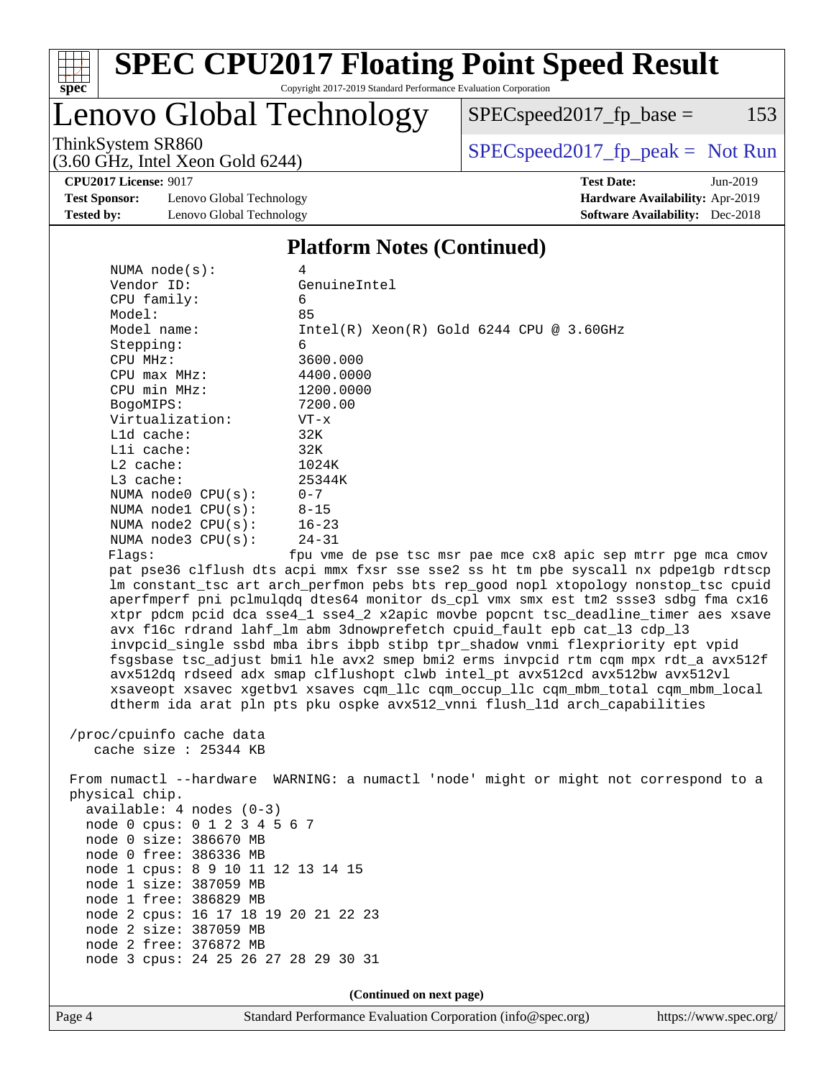

### Lenovo Global Technology

 $SPEC speed2017_fp\_base = 153$ 

(3.60 GHz, Intel Xeon Gold 6244)

ThinkSystem SR860<br>  $SPEC speed2017<sub>fp</sub> peak = Not Run$ 

**[CPU2017 License:](http://www.spec.org/auto/cpu2017/Docs/result-fields.html#CPU2017License)** 9017 **[Test Date:](http://www.spec.org/auto/cpu2017/Docs/result-fields.html#TestDate)** Jun-2019

**[Test Sponsor:](http://www.spec.org/auto/cpu2017/Docs/result-fields.html#TestSponsor)** Lenovo Global Technology **[Hardware Availability:](http://www.spec.org/auto/cpu2017/Docs/result-fields.html#HardwareAvailability)** Apr-2019 **[Tested by:](http://www.spec.org/auto/cpu2017/Docs/result-fields.html#Testedby)** Lenovo Global Technology **[Software Availability:](http://www.spec.org/auto/cpu2017/Docs/result-fields.html#SoftwareAvailability)** Dec-2018

#### **[Platform Notes \(Continued\)](http://www.spec.org/auto/cpu2017/Docs/result-fields.html#PlatformNotes)**

| NUMA $node(s)$ :         | 4                                                                                   |
|--------------------------|-------------------------------------------------------------------------------------|
| Vendor ID:               | GenuineIntel                                                                        |
| $CPU$ family:            | 6                                                                                   |
| Model:                   | 85                                                                                  |
| Model name:              | $Intel(R)$ Xeon $(R)$ Gold 6244 CPU @ 3.60GHz                                       |
| Stepping:                | 6                                                                                   |
| CPU MHz:                 | 3600.000                                                                            |
| $CPU$ max $MHz$ :        | 4400.0000                                                                           |
| CPU min MHz:             | 1200.0000                                                                           |
| BogoMIPS:                | 7200.00                                                                             |
| Virtualization:          | $VT - x$                                                                            |
| $L1d$ cache:             | 32K                                                                                 |
| Lli cache:               | 32K                                                                                 |
| $L2$ cache:              | 1024K                                                                               |
| $L3$ cache:              | 25344K                                                                              |
| NUMA $node0$ $CPU(s):$   | $0 - 7$                                                                             |
| NUMA nodel $CPU(s):$     | $8 - 15$                                                                            |
| NUMA $node2$ $CPU(s):$   | $16 - 23$                                                                           |
| NUMA $node3$ CPU $(s)$ : | $24 - 31$                                                                           |
| Flaqs:                   | fpu vme de pse tsc msr pae mce cx8 apic sep mtrr pqe mca cmov                       |
|                          | pat pse36 clflush dts acpi mmx fxsr sse sse2 ss ht tm pbe syscall nx pdpe1qb rdtscp |
|                          | Im constant tsc art arch perfmon pebs bts rep good nopl xtopology nonstop tsc cpuid |
|                          | aperfmperf pni polmulodo dtes64 monitor ds cpl ymx smx est tm2 ssse3 sdbo fma cx16  |

stop\_tsc cpuid aperfmperf pni pclmulqdq dtes64 monitor ds\_cpl vmx smx est tm2 ssse3 sdbg fma cx16 xtpr pdcm pcid dca sse4\_1 sse4\_2 x2apic movbe popcnt tsc\_deadline\_timer aes xsave avx f16c rdrand lahf\_lm abm 3dnowprefetch cpuid\_fault epb cat\_l3 cdp\_l3 invpcid\_single ssbd mba ibrs ibpb stibp tpr\_shadow vnmi flexpriority ept vpid fsgsbase tsc\_adjust bmi1 hle avx2 smep bmi2 erms invpcid rtm cqm mpx rdt\_a avx512f avx512dq rdseed adx smap clflushopt clwb intel\_pt avx512cd avx512bw avx512vl xsaveopt xsavec xgetbv1 xsaves cqm\_llc cqm\_occup\_llc cqm\_mbm\_total cqm\_mbm\_local dtherm ida arat pln pts pku ospke avx512\_vnni flush\_l1d arch\_capabilities

 /proc/cpuinfo cache data cache size : 25344 KB

 From numactl --hardware WARNING: a numactl 'node' might or might not correspond to a physical chip. available: 4 nodes (0-3) node 0 cpus: 0 1 2 3 4 5 6 7 node 0 size: 386670 MB node 0 free: 386336 MB node 1 cpus: 8 9 10 11 12 13 14 15 node 1 size: 387059 MB node 1 free: 386829 MB node 2 cpus: 16 17 18 19 20 21 22 23 node 2 size: 387059 MB node 2 free: 376872 MB node 3 cpus: 24 25 26 27 28 29 30 31

**(Continued on next page)**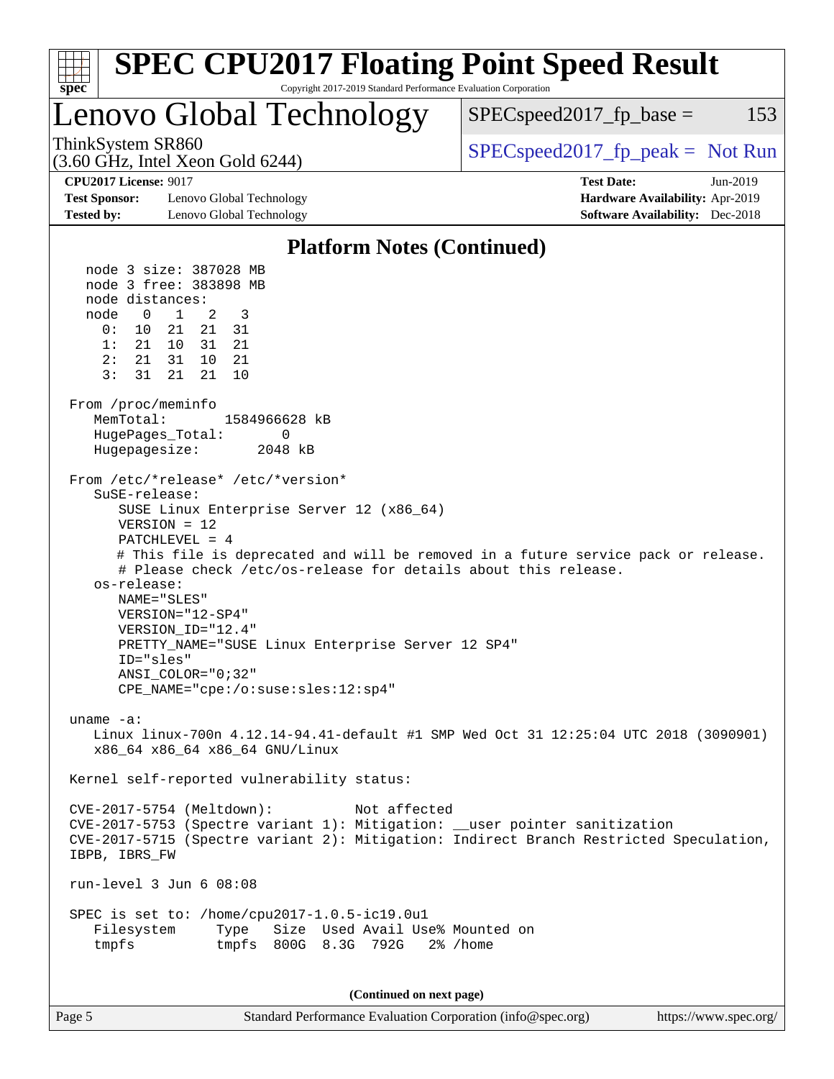#### Page 5 Standard Performance Evaluation Corporation [\(info@spec.org\)](mailto:info@spec.org) <https://www.spec.org/> **[spec](http://www.spec.org/) [SPEC CPU2017 Floating Point Speed Result](http://www.spec.org/auto/cpu2017/Docs/result-fields.html#SPECCPU2017FloatingPointSpeedResult)** Copyright 2017-2019 Standard Performance Evaluation Corporation Lenovo Global Technology (3.60 GHz, Intel Xeon Gold 6244) ThinkSystem SR860<br>  $SPEC speed2017$  [p\_peak = Not Run  $SPEC speed2017<sub>fp</sub> base =  $153$$ **[CPU2017 License:](http://www.spec.org/auto/cpu2017/Docs/result-fields.html#CPU2017License)** 9017 **[Test Date:](http://www.spec.org/auto/cpu2017/Docs/result-fields.html#TestDate)** Jun-2019 **[Test Sponsor:](http://www.spec.org/auto/cpu2017/Docs/result-fields.html#TestSponsor)** Lenovo Global Technology **[Hardware Availability:](http://www.spec.org/auto/cpu2017/Docs/result-fields.html#HardwareAvailability)** Apr-2019 **[Tested by:](http://www.spec.org/auto/cpu2017/Docs/result-fields.html#Testedby)** Lenovo Global Technology **[Software Availability:](http://www.spec.org/auto/cpu2017/Docs/result-fields.html#SoftwareAvailability)** Dec-2018 **[Platform Notes \(Continued\)](http://www.spec.org/auto/cpu2017/Docs/result-fields.html#PlatformNotes)** node 3 size: 387028 MB node 3 free: 383898 MB node distances: node 0 1 2 3 0: 10 21 21 31 1: 21 10 31 21 2: 21 31 10 21 3: 31 21 21 10 From /proc/meminfo MemTotal: 1584966628 kB HugePages Total: 0 Hugepagesize: 2048 kB From /etc/\*release\* /etc/\*version\* SuSE-release: SUSE Linux Enterprise Server 12 (x86\_64) VERSION = 12 PATCHLEVEL = 4 # This file is deprecated and will be removed in a future service pack or release. # Please check /etc/os-release for details about this release. os-release: NAME="SLES" VERSION="12-SP4" VERSION\_ID="12.4" PRETTY\_NAME="SUSE Linux Enterprise Server 12 SP4" ID="sles" ANSI\_COLOR="0;32" CPE\_NAME="cpe:/o:suse:sles:12:sp4" uname -a: Linux linux-700n 4.12.14-94.41-default #1 SMP Wed Oct 31 12:25:04 UTC 2018 (3090901) x86\_64 x86\_64 x86\_64 GNU/Linux Kernel self-reported vulnerability status: CVE-2017-5754 (Meltdown): Not affected CVE-2017-5753 (Spectre variant 1): Mitigation: \_\_user pointer sanitization CVE-2017-5715 (Spectre variant 2): Mitigation: Indirect Branch Restricted Speculation, IBPB, IBRS\_FW run-level 3 Jun 6 08:08 SPEC is set to: /home/cpu2017-1.0.5-ic19.0u1 Filesystem Type Size Used Avail Use% Mounted on tmpfs tmpfs 800G 8.3G 792G 2% /home **(Continued on next page)**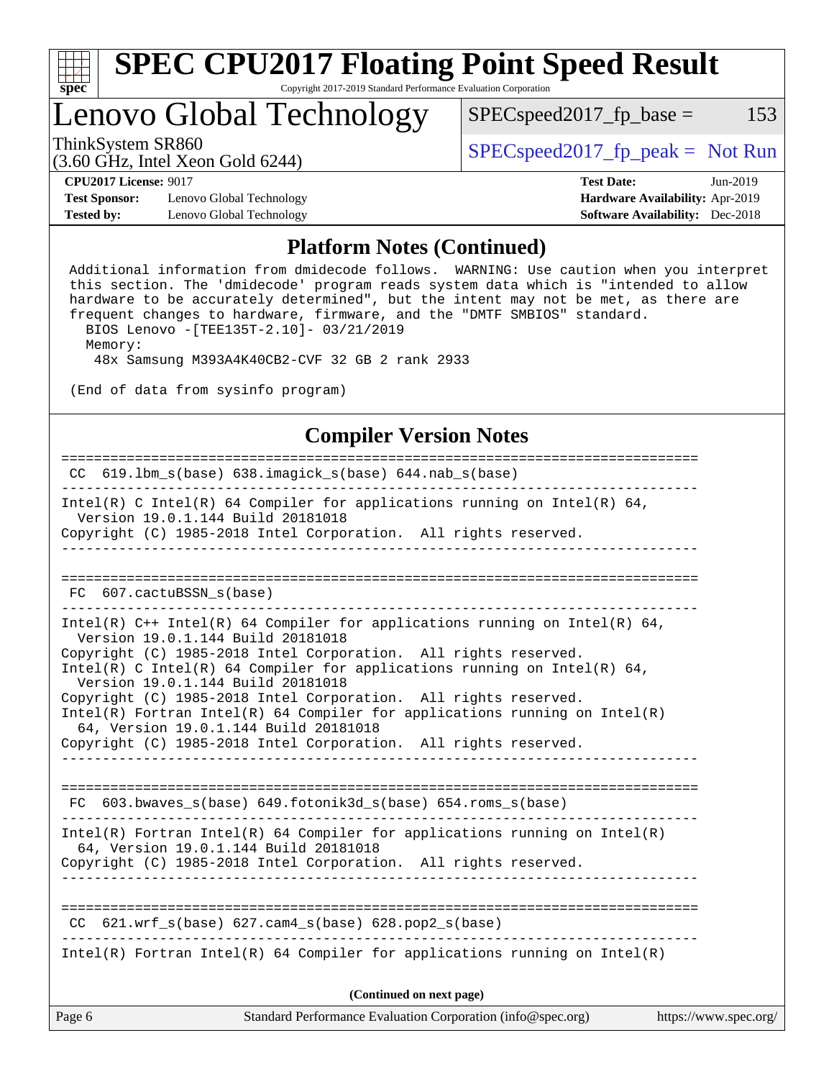

### Lenovo Global Technology

ThinkSystem SR860<br>  $(3.60 \text{ GHz. Intel Yoon Gold } 6244)$  [SPECspeed2017\\_fp\\_peak =](http://www.spec.org/auto/cpu2017/Docs/result-fields.html#SPECspeed2017fppeak) Not Run

 $SPEC speed2017_fp\_base = 153$ 

(3.60 GHz, Intel Xeon Gold 6244)

**[CPU2017 License:](http://www.spec.org/auto/cpu2017/Docs/result-fields.html#CPU2017License)** 9017 **[Test Date:](http://www.spec.org/auto/cpu2017/Docs/result-fields.html#TestDate)** Jun-2019

**[Test Sponsor:](http://www.spec.org/auto/cpu2017/Docs/result-fields.html#TestSponsor)** Lenovo Global Technology **[Hardware Availability:](http://www.spec.org/auto/cpu2017/Docs/result-fields.html#HardwareAvailability)** Apr-2019 **[Tested by:](http://www.spec.org/auto/cpu2017/Docs/result-fields.html#Testedby)** Lenovo Global Technology **[Software Availability:](http://www.spec.org/auto/cpu2017/Docs/result-fields.html#SoftwareAvailability)** Dec-2018

#### **[Platform Notes \(Continued\)](http://www.spec.org/auto/cpu2017/Docs/result-fields.html#PlatformNotes)**

 Additional information from dmidecode follows. WARNING: Use caution when you interpret this section. The 'dmidecode' program reads system data which is "intended to allow hardware to be accurately determined", but the intent may not be met, as there are frequent changes to hardware, firmware, and the "DMTF SMBIOS" standard. BIOS Lenovo -[TEE135T-2.10]- 03/21/2019 Memory: 48x Samsung M393A4K40CB2-CVF 32 GB 2 rank 2933

(End of data from sysinfo program)

#### **[Compiler Version Notes](http://www.spec.org/auto/cpu2017/Docs/result-fields.html#CompilerVersionNotes)**

| Standard Performance Evaluation Corporation (info@spec.org)<br>Page 6<br>https://www.spec.org/                                                                                           |  |
|------------------------------------------------------------------------------------------------------------------------------------------------------------------------------------------|--|
| (Continued on next page)                                                                                                                                                                 |  |
| Intel(R) Fortran Intel(R) 64 Compiler for applications running on Intel(R)                                                                                                               |  |
| $CC$ 621.wrf_s(base) 627.cam4_s(base) 628.pop2_s(base)                                                                                                                                   |  |
| $Intel(R)$ Fortran Intel(R) 64 Compiler for applications running on Intel(R)<br>64, Version 19.0.1.144 Build 20181018<br>Copyright (C) 1985-2018 Intel Corporation. All rights reserved. |  |
| FC 603.bwaves_s(base) 649.fotonik3d_s(base) 654.roms_s(base)                                                                                                                             |  |
| Copyright (C) 1985-2018 Intel Corporation. All rights reserved.                                                                                                                          |  |
| Intel(R) Fortran Intel(R) 64 Compiler for applications running on Intel(R)<br>64, Version 19.0.1.144 Build 20181018                                                                      |  |
| Version 19.0.1.144 Build 20181018<br>Copyright (C) 1985-2018 Intel Corporation. All rights reserved.                                                                                     |  |
| Copyright (C) 1985-2018 Intel Corporation. All rights reserved.<br>Intel(R) C Intel(R) 64 Compiler for applications running on Intel(R) 64,                                              |  |
| Intel(R) $C++$ Intel(R) 64 Compiler for applications running on Intel(R) 64,<br>Version 19.0.1.144 Build 20181018                                                                        |  |
| FC 607. cactuBSSN s(base)                                                                                                                                                                |  |
|                                                                                                                                                                                          |  |
| Copyright (C) 1985-2018 Intel Corporation. All rights reserved.                                                                                                                          |  |
| Intel(R) C Intel(R) 64 Compiler for applications running on Intel(R) 64,<br>Version 19.0.1.144 Build 20181018                                                                            |  |
| CC 619.1bm_s(base) 638.imagick_s(base) 644.nab_s(base)                                                                                                                                   |  |
|                                                                                                                                                                                          |  |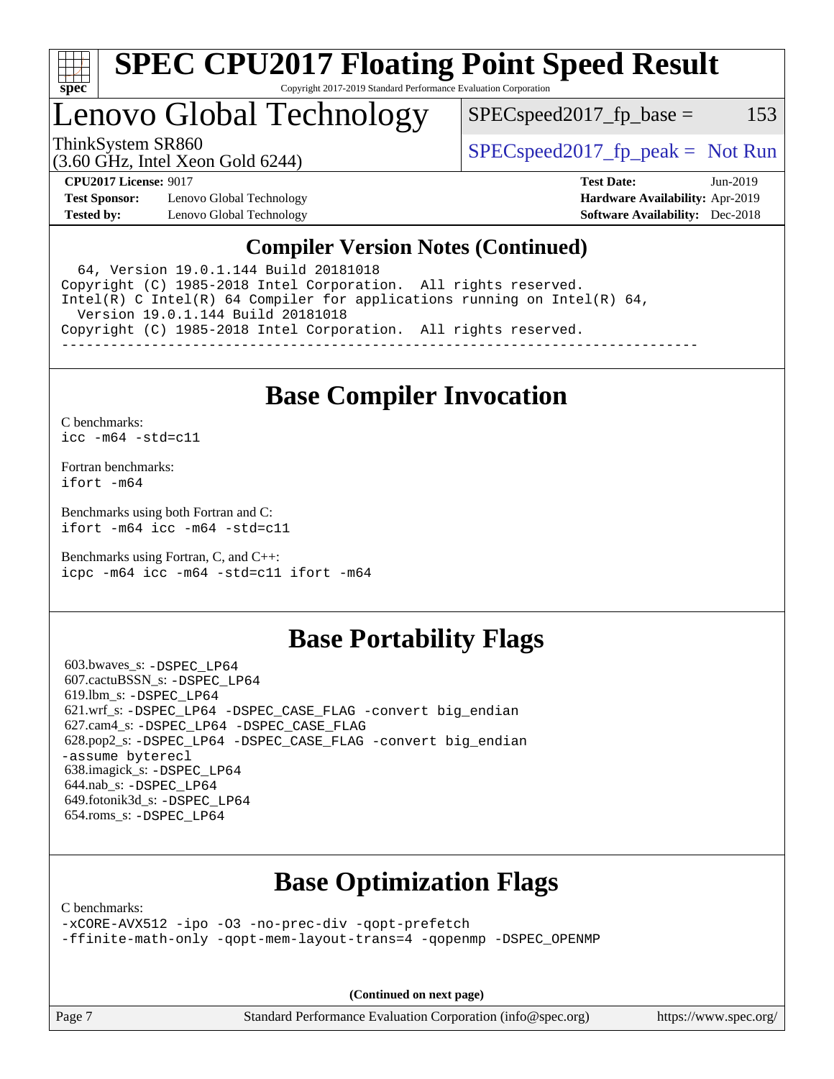

# **[SPEC CPU2017 Floating Point Speed Result](http://www.spec.org/auto/cpu2017/Docs/result-fields.html#SPECCPU2017FloatingPointSpeedResult)**

Copyright 2017-2019 Standard Performance Evaluation Corporation

### Lenovo Global Technology

 $SPEC speed2017_fp\_base = 153$ 

ThinkSystem SR860<br>  $SPEC speed2017<sub>rfp</sub> peak = Not Run$ 

(3.60 GHz, Intel Xeon Gold 6244)

**[CPU2017 License:](http://www.spec.org/auto/cpu2017/Docs/result-fields.html#CPU2017License)** 9017 **[Test Date:](http://www.spec.org/auto/cpu2017/Docs/result-fields.html#TestDate)** Jun-2019 **[Test Sponsor:](http://www.spec.org/auto/cpu2017/Docs/result-fields.html#TestSponsor)** Lenovo Global Technology **[Hardware Availability:](http://www.spec.org/auto/cpu2017/Docs/result-fields.html#HardwareAvailability)** Apr-2019 **[Tested by:](http://www.spec.org/auto/cpu2017/Docs/result-fields.html#Testedby)** Lenovo Global Technology **[Software Availability:](http://www.spec.org/auto/cpu2017/Docs/result-fields.html#SoftwareAvailability)** Dec-2018

### **[Compiler Version Notes \(Continued\)](http://www.spec.org/auto/cpu2017/Docs/result-fields.html#CompilerVersionNotes)**

 64, Version 19.0.1.144 Build 20181018 Copyright (C) 1985-2018 Intel Corporation. All rights reserved. Intel(R) C Intel(R) 64 Compiler for applications running on Intel(R) 64, Version 19.0.1.144 Build 20181018 Copyright (C) 1985-2018 Intel Corporation. All rights reserved. ------------------------------------------------------------------------------

### **[Base Compiler Invocation](http://www.spec.org/auto/cpu2017/Docs/result-fields.html#BaseCompilerInvocation)**

[C benchmarks](http://www.spec.org/auto/cpu2017/Docs/result-fields.html#Cbenchmarks): [icc -m64 -std=c11](http://www.spec.org/cpu2017/results/res2019q3/cpu2017-20190625-15656.flags.html#user_CCbase_intel_icc_64bit_c11_33ee0cdaae7deeeab2a9725423ba97205ce30f63b9926c2519791662299b76a0318f32ddfffdc46587804de3178b4f9328c46fa7c2b0cd779d7a61945c91cd35)

[Fortran benchmarks](http://www.spec.org/auto/cpu2017/Docs/result-fields.html#Fortranbenchmarks): [ifort -m64](http://www.spec.org/cpu2017/results/res2019q3/cpu2017-20190625-15656.flags.html#user_FCbase_intel_ifort_64bit_24f2bb282fbaeffd6157abe4f878425411749daecae9a33200eee2bee2fe76f3b89351d69a8130dd5949958ce389cf37ff59a95e7a40d588e8d3a57e0c3fd751)

[Benchmarks using both Fortran and C](http://www.spec.org/auto/cpu2017/Docs/result-fields.html#BenchmarksusingbothFortranandC): [ifort -m64](http://www.spec.org/cpu2017/results/res2019q3/cpu2017-20190625-15656.flags.html#user_CC_FCbase_intel_ifort_64bit_24f2bb282fbaeffd6157abe4f878425411749daecae9a33200eee2bee2fe76f3b89351d69a8130dd5949958ce389cf37ff59a95e7a40d588e8d3a57e0c3fd751) [icc -m64 -std=c11](http://www.spec.org/cpu2017/results/res2019q3/cpu2017-20190625-15656.flags.html#user_CC_FCbase_intel_icc_64bit_c11_33ee0cdaae7deeeab2a9725423ba97205ce30f63b9926c2519791662299b76a0318f32ddfffdc46587804de3178b4f9328c46fa7c2b0cd779d7a61945c91cd35)

[Benchmarks using Fortran, C, and C++:](http://www.spec.org/auto/cpu2017/Docs/result-fields.html#BenchmarksusingFortranCandCXX) [icpc -m64](http://www.spec.org/cpu2017/results/res2019q3/cpu2017-20190625-15656.flags.html#user_CC_CXX_FCbase_intel_icpc_64bit_4ecb2543ae3f1412ef961e0650ca070fec7b7afdcd6ed48761b84423119d1bf6bdf5cad15b44d48e7256388bc77273b966e5eb805aefd121eb22e9299b2ec9d9) [icc -m64 -std=c11](http://www.spec.org/cpu2017/results/res2019q3/cpu2017-20190625-15656.flags.html#user_CC_CXX_FCbase_intel_icc_64bit_c11_33ee0cdaae7deeeab2a9725423ba97205ce30f63b9926c2519791662299b76a0318f32ddfffdc46587804de3178b4f9328c46fa7c2b0cd779d7a61945c91cd35) [ifort -m64](http://www.spec.org/cpu2017/results/res2019q3/cpu2017-20190625-15656.flags.html#user_CC_CXX_FCbase_intel_ifort_64bit_24f2bb282fbaeffd6157abe4f878425411749daecae9a33200eee2bee2fe76f3b89351d69a8130dd5949958ce389cf37ff59a95e7a40d588e8d3a57e0c3fd751)

### **[Base Portability Flags](http://www.spec.org/auto/cpu2017/Docs/result-fields.html#BasePortabilityFlags)**

 603.bwaves\_s: [-DSPEC\\_LP64](http://www.spec.org/cpu2017/results/res2019q3/cpu2017-20190625-15656.flags.html#suite_basePORTABILITY603_bwaves_s_DSPEC_LP64) 607.cactuBSSN\_s: [-DSPEC\\_LP64](http://www.spec.org/cpu2017/results/res2019q3/cpu2017-20190625-15656.flags.html#suite_basePORTABILITY607_cactuBSSN_s_DSPEC_LP64) 619.lbm\_s: [-DSPEC\\_LP64](http://www.spec.org/cpu2017/results/res2019q3/cpu2017-20190625-15656.flags.html#suite_basePORTABILITY619_lbm_s_DSPEC_LP64) 621.wrf\_s: [-DSPEC\\_LP64](http://www.spec.org/cpu2017/results/res2019q3/cpu2017-20190625-15656.flags.html#suite_basePORTABILITY621_wrf_s_DSPEC_LP64) [-DSPEC\\_CASE\\_FLAG](http://www.spec.org/cpu2017/results/res2019q3/cpu2017-20190625-15656.flags.html#b621.wrf_s_baseCPORTABILITY_DSPEC_CASE_FLAG) [-convert big\\_endian](http://www.spec.org/cpu2017/results/res2019q3/cpu2017-20190625-15656.flags.html#user_baseFPORTABILITY621_wrf_s_convert_big_endian_c3194028bc08c63ac5d04de18c48ce6d347e4e562e8892b8bdbdc0214820426deb8554edfa529a3fb25a586e65a3d812c835984020483e7e73212c4d31a38223) 627.cam4\_s: [-DSPEC\\_LP64](http://www.spec.org/cpu2017/results/res2019q3/cpu2017-20190625-15656.flags.html#suite_basePORTABILITY627_cam4_s_DSPEC_LP64) [-DSPEC\\_CASE\\_FLAG](http://www.spec.org/cpu2017/results/res2019q3/cpu2017-20190625-15656.flags.html#b627.cam4_s_baseCPORTABILITY_DSPEC_CASE_FLAG) 628.pop2\_s: [-DSPEC\\_LP64](http://www.spec.org/cpu2017/results/res2019q3/cpu2017-20190625-15656.flags.html#suite_basePORTABILITY628_pop2_s_DSPEC_LP64) [-DSPEC\\_CASE\\_FLAG](http://www.spec.org/cpu2017/results/res2019q3/cpu2017-20190625-15656.flags.html#b628.pop2_s_baseCPORTABILITY_DSPEC_CASE_FLAG) [-convert big\\_endian](http://www.spec.org/cpu2017/results/res2019q3/cpu2017-20190625-15656.flags.html#user_baseFPORTABILITY628_pop2_s_convert_big_endian_c3194028bc08c63ac5d04de18c48ce6d347e4e562e8892b8bdbdc0214820426deb8554edfa529a3fb25a586e65a3d812c835984020483e7e73212c4d31a38223) [-assume byterecl](http://www.spec.org/cpu2017/results/res2019q3/cpu2017-20190625-15656.flags.html#user_baseFPORTABILITY628_pop2_s_assume_byterecl_7e47d18b9513cf18525430bbf0f2177aa9bf368bc7a059c09b2c06a34b53bd3447c950d3f8d6c70e3faf3a05c8557d66a5798b567902e8849adc142926523472) 638.imagick\_s: [-DSPEC\\_LP64](http://www.spec.org/cpu2017/results/res2019q3/cpu2017-20190625-15656.flags.html#suite_basePORTABILITY638_imagick_s_DSPEC_LP64) 644.nab\_s: [-DSPEC\\_LP64](http://www.spec.org/cpu2017/results/res2019q3/cpu2017-20190625-15656.flags.html#suite_basePORTABILITY644_nab_s_DSPEC_LP64) 649.fotonik3d\_s: [-DSPEC\\_LP64](http://www.spec.org/cpu2017/results/res2019q3/cpu2017-20190625-15656.flags.html#suite_basePORTABILITY649_fotonik3d_s_DSPEC_LP64) 654.roms\_s: [-DSPEC\\_LP64](http://www.spec.org/cpu2017/results/res2019q3/cpu2017-20190625-15656.flags.html#suite_basePORTABILITY654_roms_s_DSPEC_LP64)

### **[Base Optimization Flags](http://www.spec.org/auto/cpu2017/Docs/result-fields.html#BaseOptimizationFlags)**

[C benchmarks](http://www.spec.org/auto/cpu2017/Docs/result-fields.html#Cbenchmarks):

[-xCORE-AVX512](http://www.spec.org/cpu2017/results/res2019q3/cpu2017-20190625-15656.flags.html#user_CCbase_f-xCORE-AVX512) [-ipo](http://www.spec.org/cpu2017/results/res2019q3/cpu2017-20190625-15656.flags.html#user_CCbase_f-ipo) [-O3](http://www.spec.org/cpu2017/results/res2019q3/cpu2017-20190625-15656.flags.html#user_CCbase_f-O3) [-no-prec-div](http://www.spec.org/cpu2017/results/res2019q3/cpu2017-20190625-15656.flags.html#user_CCbase_f-no-prec-div) [-qopt-prefetch](http://www.spec.org/cpu2017/results/res2019q3/cpu2017-20190625-15656.flags.html#user_CCbase_f-qopt-prefetch) [-ffinite-math-only](http://www.spec.org/cpu2017/results/res2019q3/cpu2017-20190625-15656.flags.html#user_CCbase_f_finite_math_only_cb91587bd2077682c4b38af759c288ed7c732db004271a9512da14a4f8007909a5f1427ecbf1a0fb78ff2a814402c6114ac565ca162485bbcae155b5e4258871) [-qopt-mem-layout-trans=4](http://www.spec.org/cpu2017/results/res2019q3/cpu2017-20190625-15656.flags.html#user_CCbase_f-qopt-mem-layout-trans_fa39e755916c150a61361b7846f310bcdf6f04e385ef281cadf3647acec3f0ae266d1a1d22d972a7087a248fd4e6ca390a3634700869573d231a252c784941a8) [-qopenmp](http://www.spec.org/cpu2017/results/res2019q3/cpu2017-20190625-15656.flags.html#user_CCbase_qopenmp_16be0c44f24f464004c6784a7acb94aca937f053568ce72f94b139a11c7c168634a55f6653758ddd83bcf7b8463e8028bb0b48b77bcddc6b78d5d95bb1df2967) [-DSPEC\\_OPENMP](http://www.spec.org/cpu2017/results/res2019q3/cpu2017-20190625-15656.flags.html#suite_CCbase_DSPEC_OPENMP)

**(Continued on next page)**

Page 7 Standard Performance Evaluation Corporation [\(info@spec.org\)](mailto:info@spec.org) <https://www.spec.org/>